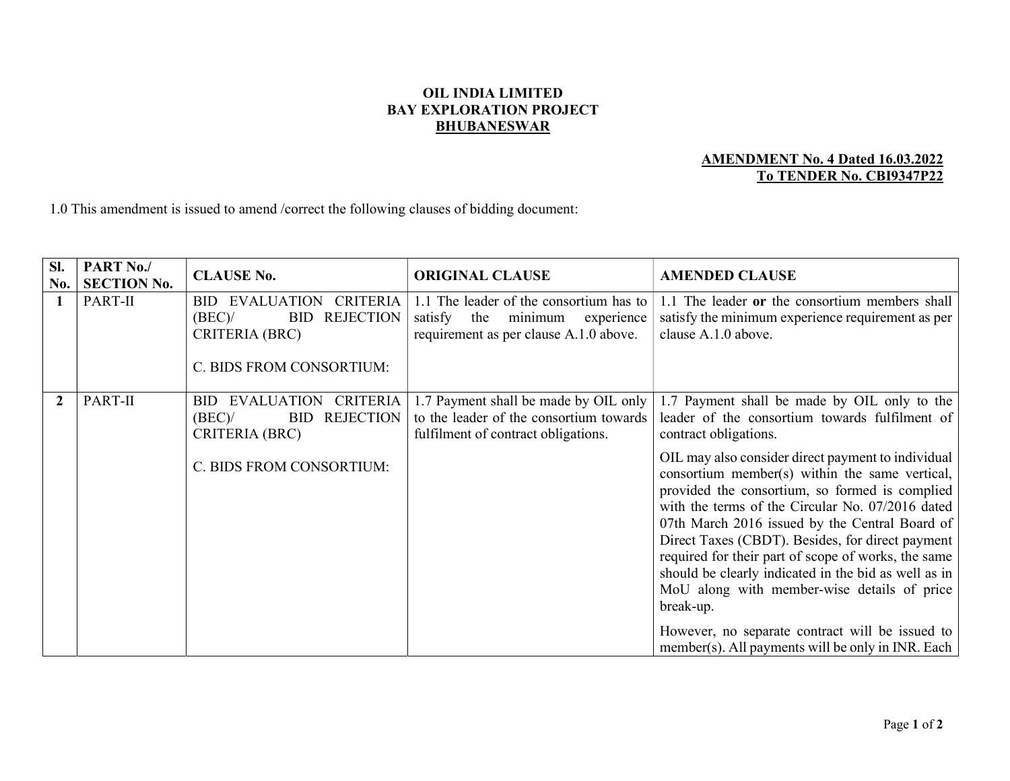## OIL INDIA LIMITED BAY EXPLORATION PROJECT **BHUBANESWAR**

## AMENDMENT No. 4 Dated 16.03.2022 To TENDER No. CBI9347P22

1.0 This amendment is issued to amend /correct the following clauses of bidding document:

| SI.<br>No.     | PART No./<br><b>SECTION No.</b> | <b>CLAUSE No.</b>                                                                                                                 | <b>ORIGINAL CLAUSE</b>                                                                                                       | <b>AMENDED CLAUSE</b>                                                                                                                                                                                                                                                                                                                                                                                                                                                                       |
|----------------|---------------------------------|-----------------------------------------------------------------------------------------------------------------------------------|------------------------------------------------------------------------------------------------------------------------------|---------------------------------------------------------------------------------------------------------------------------------------------------------------------------------------------------------------------------------------------------------------------------------------------------------------------------------------------------------------------------------------------------------------------------------------------------------------------------------------------|
| 1              | PART-II                         | <b>BID EVALUATION</b><br><b>CRITERIA</b><br><b>REJECTION</b><br>(BEC)<br><b>BID</b><br>CRITERIA (BRC)<br>C. BIDS FROM CONSORTIUM: | 1.1 The leader of the consortium has to<br>minimum<br>satisfy<br>the<br>experience<br>requirement as per clause A.1.0 above. | 1.1 The leader or the consortium members shall<br>satisfy the minimum experience requirement as per<br>clause A.1.0 above.                                                                                                                                                                                                                                                                                                                                                                  |
| $\overline{2}$ | PART-II                         | EVALUATION<br><b>CRITERIA</b><br>BID.<br><b>REJECTION</b><br>(BEC)<br><b>BID</b><br>CRITERIA (BRC)                                | 1.7 Payment shall be made by OIL only<br>to the leader of the consortium towards<br>fulfilment of contract obligations.      | 1.7 Payment shall be made by OIL only to the<br>leader of the consortium towards fulfilment of<br>contract obligations.                                                                                                                                                                                                                                                                                                                                                                     |
|                |                                 | C. BIDS FROM CONSORTIUM:                                                                                                          |                                                                                                                              | OIL may also consider direct payment to individual<br>consortium member(s) within the same vertical,<br>provided the consortium, so formed is complied<br>with the terms of the Circular No. 07/2016 dated<br>07th March 2016 issued by the Central Board of<br>Direct Taxes (CBDT). Besides, for direct payment<br>required for their part of scope of works, the same<br>should be clearly indicated in the bid as well as in<br>MoU along with member-wise details of price<br>break-up. |
|                |                                 |                                                                                                                                   |                                                                                                                              | However, no separate contract will be issued to<br>member(s). All payments will be only in INR. Each                                                                                                                                                                                                                                                                                                                                                                                        |